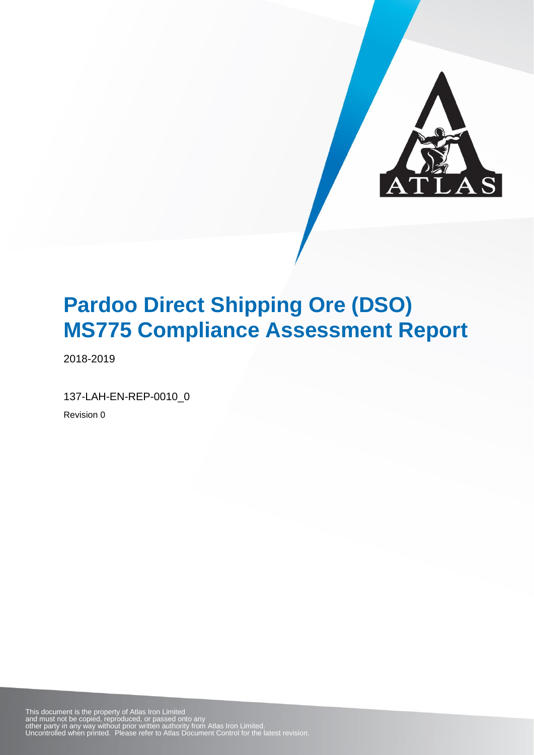

2018-2019

137-LAH-EN-REP-0010\_0

Revision 0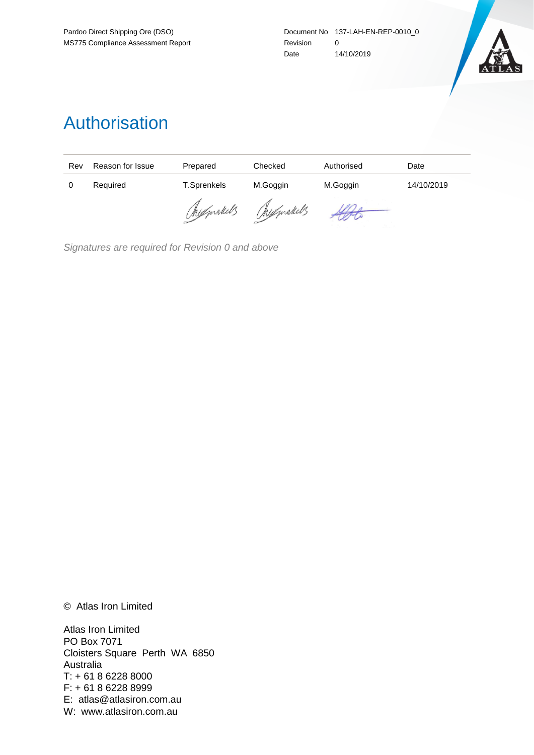Document No 137-LAH-EN-REP-0010\_0 Revision 0 Date 14/10/2019



## Authorisation

| Rev | Reason for Issue | Prepared    | Checked     | Authorised | Date       |
|-----|------------------|-------------|-------------|------------|------------|
|     | Required         | T.Sprenkels | M.Goggin    | M.Goggin   | 14/10/2019 |
|     |                  | Mexproduls  | Mexproducts |            |            |

*Signatures are required for Revision 0 and above*

© Atlas Iron Limited

Atlas Iron Limited PO Box 7071 Cloisters Square Perth WA 6850 Australia T: + 61 8 6228 8000 F: + 61 8 6228 8999 E: atlas@atlasiron.com.au W: www.atlasiron.com.au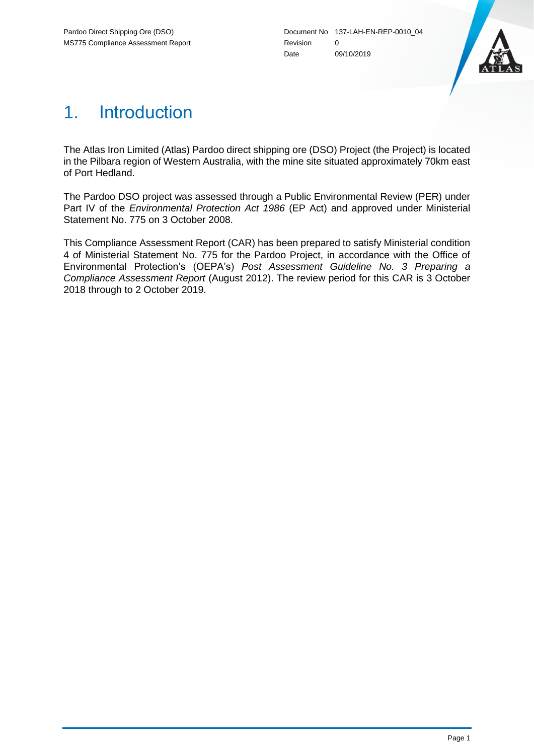Document No 137-LAH-EN-REP-0010\_04 Revision 0 Date 09/10/2019



## 1. Introduction

The Atlas Iron Limited (Atlas) Pardoo direct shipping ore (DSO) Project (the Project) is located in the Pilbara region of Western Australia, with the mine site situated approximately 70km east of Port Hedland.

The Pardoo DSO project was assessed through a Public Environmental Review (PER) under Part IV of the *Environmental Protection Act 1986* (EP Act) and approved under Ministerial Statement No. 775 on 3 October 2008.

This Compliance Assessment Report (CAR) has been prepared to satisfy Ministerial condition 4 of Ministerial Statement No. 775 for the Pardoo Project, in accordance with the Office of Environmental Protection's (OEPA's) *Post Assessment Guideline No. 3 Preparing a Compliance Assessment Report* (August 2012). The review period for this CAR is 3 October 2018 through to 2 October 2019.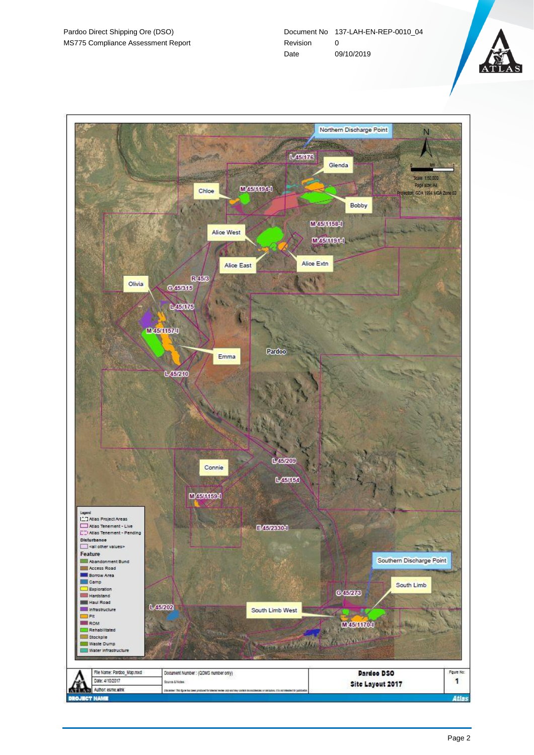

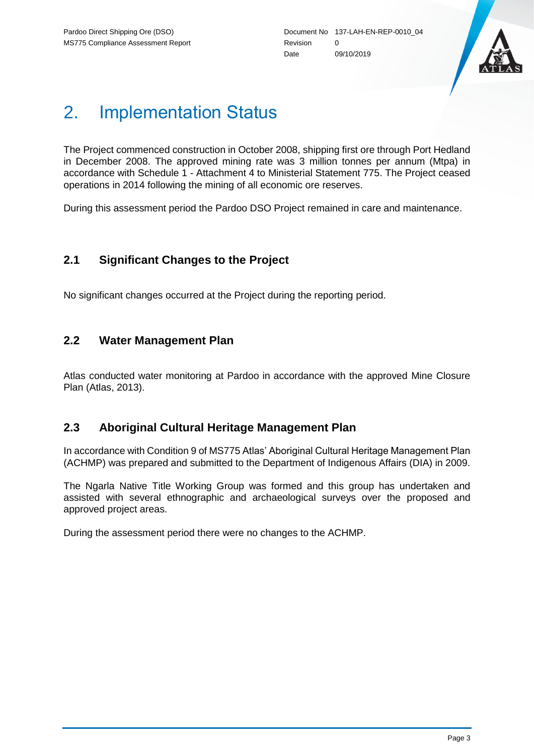

## 2. Implementation Status

The Project commenced construction in October 2008, shipping first ore through Port Hedland in December 2008. The approved mining rate was 3 million tonnes per annum (Mtpa) in accordance with Schedule 1 - Attachment 4 to Ministerial Statement 775. The Project ceased operations in 2014 following the mining of all economic ore reserves.

During this assessment period the Pardoo DSO Project remained in care and maintenance.

### **2.1 Significant Changes to the Project**

No significant changes occurred at the Project during the reporting period.

### **2.2 Water Management Plan**

Atlas conducted water monitoring at Pardoo in accordance with the approved Mine Closure Plan (Atlas, 2013).

### **2.3 Aboriginal Cultural Heritage Management Plan**

In accordance with Condition 9 of MS775 Atlas' Aboriginal Cultural Heritage Management Plan (ACHMP) was prepared and submitted to the Department of Indigenous Affairs (DIA) in 2009.

The Ngarla Native Title Working Group was formed and this group has undertaken and assisted with several ethnographic and archaeological surveys over the proposed and approved project areas.

During the assessment period there were no changes to the ACHMP.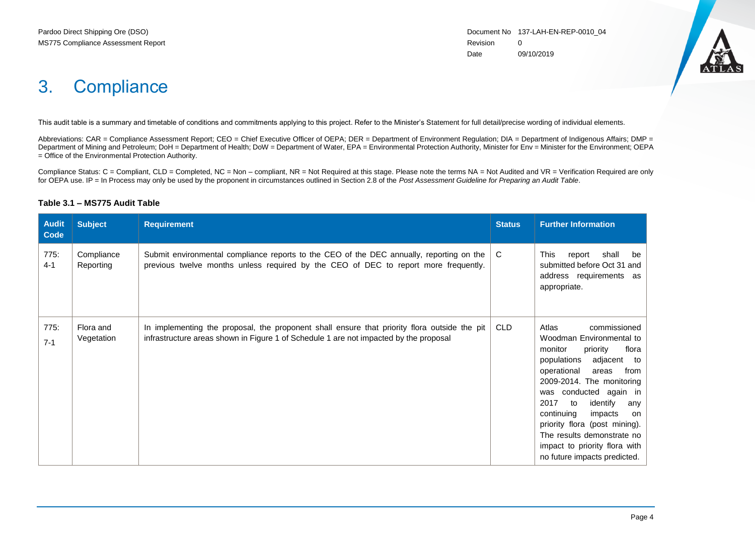Document No 137-LAH-EN-REP-0010\_04 Revision 0 Date 09/10/2019



### 3. Compliance

This audit table is a summary and timetable of conditions and commitments applying to this project. Refer to the Minister's Statement for full detail/precise wording of individual elements.

Abbreviations: CAR = Compliance Assessment Report; CEO = Chief Executive Officer of OEPA; DER = Department of Environment Regulation; DIA = Department of Indigenous Affairs; DMP = Department of Mining and Petroleum; DoH = Department of Health; DoW = Department of Water, EPA = Environmental Protection Authority, Minister for Env = Minister for the Environment; OEPA = Office of the Environmental Protection Authority.

Compliance Status: C = Compliant, CLD = Completed, NC = Non – compliant, NR = Not Required at this stage. Please note the terms NA = Not Audited and VR = Verification Required are only for OEPA use. IP = In Process may only be used by the proponent in circumstances outlined in Section 2.8 of the *Post Assessment Guideline for Preparing an Audit Table*.

#### **Table 3.1 – MS775 Audit Table**

| <b>Audit</b><br><b>Code</b> | <b>Subject</b>          | <b>Requirement</b>                                                                                                                                                                    | <b>Status</b> | <b>Further Information</b>                                                                                                                                                                                                                                                                                                                                                                             |
|-----------------------------|-------------------------|---------------------------------------------------------------------------------------------------------------------------------------------------------------------------------------|---------------|--------------------------------------------------------------------------------------------------------------------------------------------------------------------------------------------------------------------------------------------------------------------------------------------------------------------------------------------------------------------------------------------------------|
| 775:<br>$4 - 1$             | Compliance<br>Reporting | Submit environmental compliance reports to the CEO of the DEC annually, reporting on the<br>previous twelve months unless required by the CEO of DEC to report more frequently.       | C             | shall<br>This<br>report<br>be<br>submitted before Oct 31 and<br>address requirements as<br>appropriate.                                                                                                                                                                                                                                                                                                |
| 775:<br>$7 - 1$             | Flora and<br>Vegetation | In implementing the proposal, the proponent shall ensure that priority flora outside the pit<br>infrastructure areas shown in Figure 1 of Schedule 1 are not impacted by the proposal | <b>CLD</b>    | Atlas<br>commissioned<br>Woodman Environmental to<br>monitor<br>priority<br>flora<br>populations<br>adjacent to<br>operational<br>from<br>areas<br>2009-2014. The monitoring<br>was conducted again in<br>2017<br>identify<br>to<br>any<br>continuing<br>impacts<br>on<br>priority flora (post mining).<br>The results demonstrate no<br>impact to priority flora with<br>no future impacts predicted. |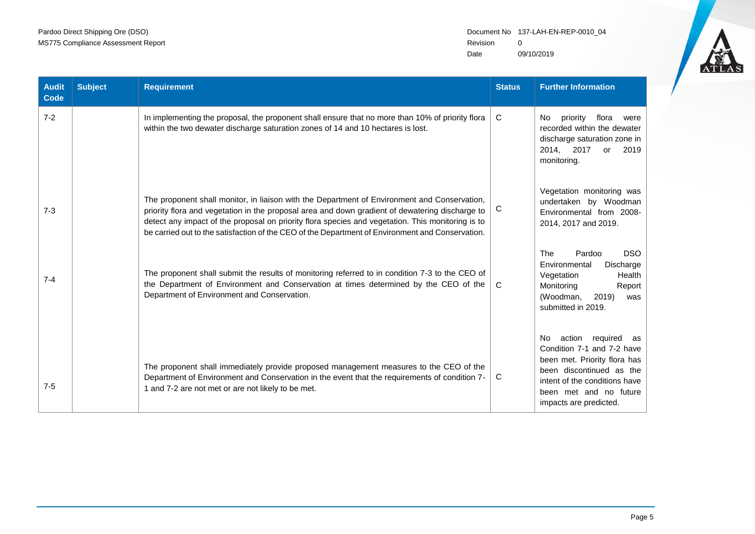

| <b>Audit</b><br>Code | <b>Subject</b> | <b>Requirement</b>                                                                                                                                                                                                                                                                                                                                                                                       | <b>Status</b> | <b>Further Information</b>                                                                                                                                                                                  |
|----------------------|----------------|----------------------------------------------------------------------------------------------------------------------------------------------------------------------------------------------------------------------------------------------------------------------------------------------------------------------------------------------------------------------------------------------------------|---------------|-------------------------------------------------------------------------------------------------------------------------------------------------------------------------------------------------------------|
| $7 - 2$              |                | In implementing the proposal, the proponent shall ensure that no more than 10% of priority flora<br>within the two dewater discharge saturation zones of 14 and 10 hectares is lost.                                                                                                                                                                                                                     | $\mathbf C$   | priority<br>No.<br>flora<br>were<br>recorded within the dewater<br>discharge saturation zone in<br>2014, 2017<br>or<br>2019<br>monitoring.                                                                  |
| $7 - 3$              |                | The proponent shall monitor, in liaison with the Department of Environment and Conservation,<br>priority flora and vegetation in the proposal area and down gradient of dewatering discharge to<br>detect any impact of the proposal on priority flora species and vegetation. This monitoring is to<br>be carried out to the satisfaction of the CEO of the Department of Environment and Conservation. | C             | Vegetation monitoring was<br>undertaken by Woodman<br>Environmental from 2008-<br>2014, 2017 and 2019.                                                                                                      |
| $7 - 4$              |                | The proponent shall submit the results of monitoring referred to in condition 7-3 to the CEO of<br>the Department of Environment and Conservation at times determined by the CEO of the<br>Department of Environment and Conservation.                                                                                                                                                                   | $\mathsf{C}$  | Pardoo<br><b>DSO</b><br>The<br>Environmental<br>Discharge<br>Vegetation<br>Health<br>Monitoring<br>Report<br>(Woodman,<br>2019)<br>was<br>submitted in 2019.                                                |
| $7 - 5$              |                | The proponent shall immediately provide proposed management measures to the CEO of the<br>Department of Environment and Conservation in the event that the requirements of condition 7-<br>1 and 7-2 are not met or are not likely to be met.                                                                                                                                                            | C             | action<br>No.<br>required as<br>Condition 7-1 and 7-2 have<br>been met. Priority flora has<br>been discontinued as the<br>intent of the conditions have<br>been met and no future<br>impacts are predicted. |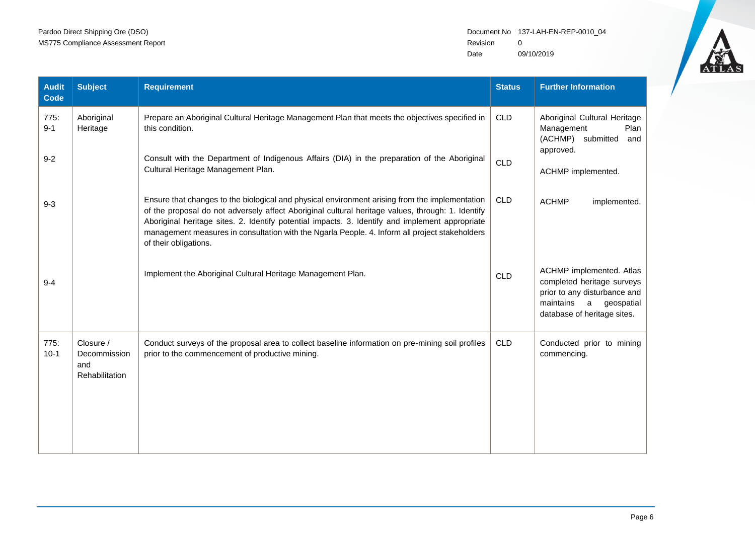

| <b>Audit</b><br>Code | <b>Subject</b>                                     | <b>Requirement</b>                                                                                                                                                                                                                                                                                                                                                                                                                | <b>Status</b> | <b>Further Information</b>                                                                                                                            |
|----------------------|----------------------------------------------------|-----------------------------------------------------------------------------------------------------------------------------------------------------------------------------------------------------------------------------------------------------------------------------------------------------------------------------------------------------------------------------------------------------------------------------------|---------------|-------------------------------------------------------------------------------------------------------------------------------------------------------|
| 775:<br>$9 - 1$      | Aboriginal<br>Heritage                             | Prepare an Aboriginal Cultural Heritage Management Plan that meets the objectives specified in<br>this condition.                                                                                                                                                                                                                                                                                                                 | <b>CLD</b>    | Aboriginal Cultural Heritage<br>Management<br>Plan<br>(ACHMP)<br>submitted<br>and<br>approved.<br>ACHMP implemented.                                  |
| $9 - 2$              |                                                    | Consult with the Department of Indigenous Affairs (DIA) in the preparation of the Aboriginal<br>Cultural Heritage Management Plan.                                                                                                                                                                                                                                                                                                | <b>CLD</b>    |                                                                                                                                                       |
| $9 - 3$              |                                                    | Ensure that changes to the biological and physical environment arising from the implementation<br>of the proposal do not adversely affect Aboriginal cultural heritage values, through: 1. Identify<br>Aboriginal heritage sites. 2. Identify potential impacts. 3. Identify and implement appropriate<br>management measures in consultation with the Ngarla People. 4. Inform all project stakeholders<br>of their obligations. | <b>CLD</b>    | <b>ACHMP</b><br>implemented.                                                                                                                          |
| $9 - 4$              |                                                    | Implement the Aboriginal Cultural Heritage Management Plan.                                                                                                                                                                                                                                                                                                                                                                       | <b>CLD</b>    | ACHMP implemented. Atlas<br>completed heritage surveys<br>prior to any disturbance and<br>maintains<br>a<br>geospatial<br>database of heritage sites. |
| 775:<br>$10-1$       | Closure /<br>Decommission<br>and<br>Rehabilitation | Conduct surveys of the proposal area to collect baseline information on pre-mining soil profiles<br>prior to the commencement of productive mining.                                                                                                                                                                                                                                                                               | <b>CLD</b>    | Conducted prior to mining<br>commencing.                                                                                                              |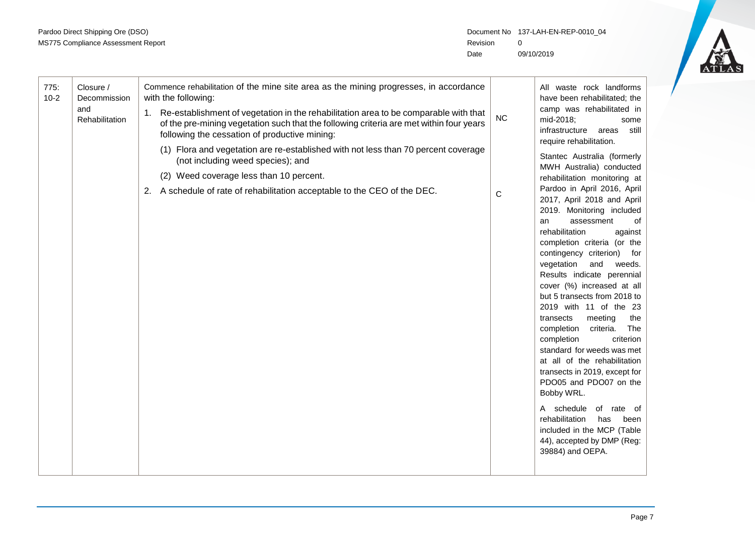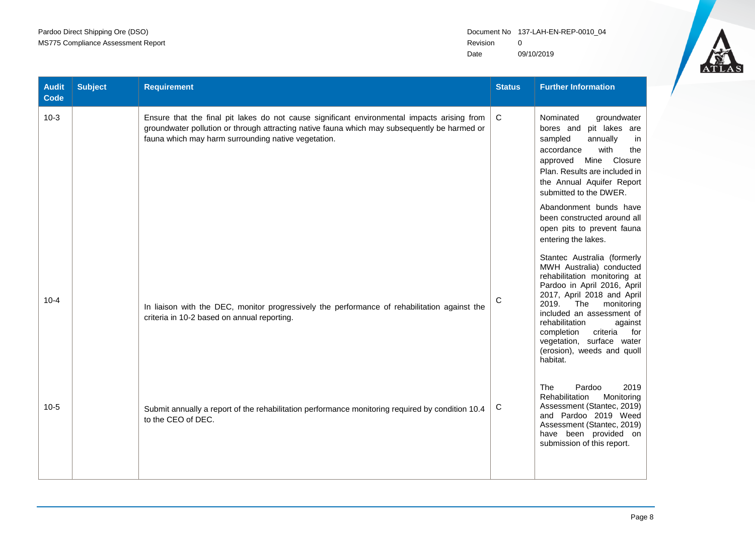

| <b>Audit</b><br><b>Code</b> | <b>Subject</b> | <b>Requirement</b>                                                                                                                                                                                                                                 | <b>Status</b> | <b>Further Information</b>                                                                                                                                                                                                                                                                                                                           |
|-----------------------------|----------------|----------------------------------------------------------------------------------------------------------------------------------------------------------------------------------------------------------------------------------------------------|---------------|------------------------------------------------------------------------------------------------------------------------------------------------------------------------------------------------------------------------------------------------------------------------------------------------------------------------------------------------------|
| $10-3$                      |                | Ensure that the final pit lakes do not cause significant environmental impacts arising from<br>groundwater pollution or through attracting native fauna which may subsequently be harmed or<br>fauna which may harm surrounding native vegetation. | $\mathsf C$   | Nominated<br>groundwater<br>pit lakes are<br>bores and<br>annually<br>sampled<br>in<br>accordance<br>with<br>the<br>Mine Closure<br>approved<br>Plan. Results are included in<br>the Annual Aquifer Report<br>submitted to the DWER.                                                                                                                 |
|                             |                |                                                                                                                                                                                                                                                    |               | Abandonment bunds have<br>been constructed around all<br>open pits to prevent fauna<br>entering the lakes.                                                                                                                                                                                                                                           |
| $10 - 4$                    |                | In liaison with the DEC, monitor progressively the performance of rehabilitation against the<br>criteria in 10-2 based on annual reporting.                                                                                                        | C             | Stantec Australia (formerly<br>MWH Australia) conducted<br>rehabilitation monitoring at<br>Pardoo in April 2016, April<br>2017, April 2018 and April<br>2019.<br>The<br>monitoring<br>included an assessment of<br>rehabilitation<br>against<br>completion<br>criteria<br>for<br>vegetation, surface water<br>(erosion), weeds and quoll<br>habitat. |
| $10-5$                      |                | Submit annually a report of the rehabilitation performance monitoring required by condition 10.4<br>to the CEO of DEC.                                                                                                                             | C             | 2019<br>The<br>Pardoo<br>Rehabilitation<br>Monitoring<br>Assessment (Stantec, 2019)<br>and Pardoo 2019 Weed<br>Assessment (Stantec, 2019)<br>have been provided on<br>submission of this report.                                                                                                                                                     |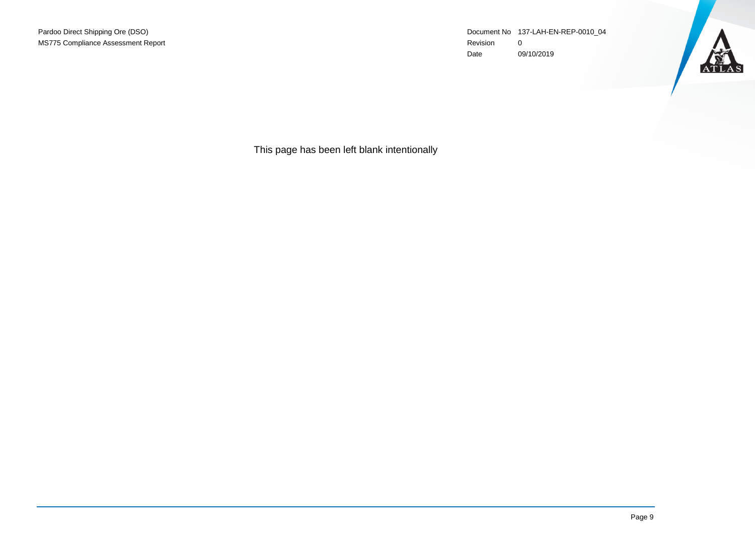Document No 137-LAH-EN-REP-0010\_04 Revision 0 Date 09/10/2019



This page has been left blank intentionally